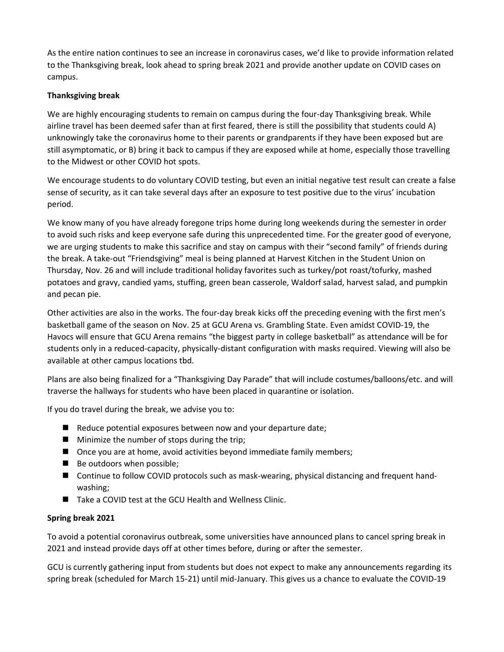As the entire nation continues to see an increase in coronavirus cases, we'd like to provide information related to the Thanksgiving break, look ahead to spring break 2021 and provide another update on COVID cases on campus.

## **Thanksgiving break**

We are highly encouraging students to remain on campus during the four-day Thanksgiving break. While airline travel has been deemed safer than at first feared, there is still the possibility that students could A) unknowingly take the coronavirus home to their parents or grandparents if they have been exposed but are still asymptomatic, or B) bring it back to campus if they are exposed while at home, especially those travelling to the Midwest or other COVID hot spots.

We encourage students to do voluntary COVID testing, but even an initial negative test result can create a false sense of security, as it can take several days after an exposure to test positive due to the virus' incubation period.

We know many of you have already foregone trips home during long weekends during the semester in order to avoid such risks and keep everyone safe during this unprecedented time. For the greater good of everyone, we are urging students to make this sacrifice and stay on campus with their "second family" of friends during the break. A take-out "Friendsgiving" meal is being planned at Harvest Kitchen in the Student Union on Thursday, Nov. 26 and will include traditional holiday favorites such as turkey/pot roast/tofurky, mashed potatoes and gravy, candied yams, stuffing, green bean casserole, Waldorf salad, harvest salad, and pumpkin and pecan pie.

Other activities are also in the works. The four-day break kicks off the preceding evening with the first men's basketball game of the season on Nov. 25 at GCU Arena vs. Grambling State. Even amidst COVID-19, the Havocs will ensure that GCU Arena remains "the biggest party in college basketball" as attendance will be for students only in a reduced-capacity, physically-distant configuration with masks required. Viewing will also be available at other campus locations tbd.

Plans are also being finalized for a "Thanksgiving Day Parade" that will include costumes/balloons/etc. and will traverse the hallways for students who have been placed in quarantine or isolation.

If you do travel during the break, we advise you to:

- Reduce potential exposures between now and your departure date;
- Minimize the number of stops during the trip;
- Once you are at home, avoid activities beyond immediate family members;
- Be outdoors when possible;
- Continue to follow COVID protocols such as mask-wearing, physical distancing and frequent handwashing;
- Take a COVID test at the GCU Health and Wellness Clinic.

## **Spring break 2021**

To avoid a potential coronavirus outbreak, some universities have announced plans to cancel spring break in 2021 and instead provide days off at other times before, during or after the semester.

GCU is currently gathering input from students but does not expect to make any announcements regarding its spring break (scheduled for March 15-21) until mid-January. This gives us a chance to evaluate the COVID-19